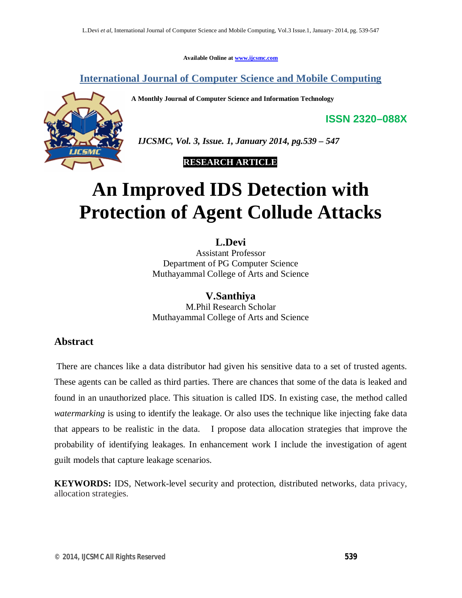**Available Online at www.ijcsmc.com**

**International Journal of Computer Science and Mobile Computing**

**A Monthly Journal of Computer Science and Information Technology**



 *IJCSMC, Vol. 3, Issue. 1, January 2014, pg.539 – 547*

 **RESEARCH ARTICLE**

# **An Improved IDS Detection with Protection of Agent Collude Attacks**

**L.Devi**

Assistant Professor Department of PG Computer Science Muthayammal College of Arts and Science

## **V.Santhiya**

M.Phil Research Scholar Muthayammal College of Arts and Science

## **Abstract**

There are chances like a data distributor had given his sensitive data to a set of trusted agents. These agents can be called as third parties. There are chances that some of the data is leaked and found in an unauthorized place. This situation is called IDS. In existing case, the method called *watermarking* is using to identify the leakage. Or also uses the technique like injecting fake data that appears to be realistic in the data. I propose data allocation strategies that improve the probability of identifying leakages. In enhancement work I include the investigation of agent guilt models that capture leakage scenarios.

**KEYWORDS:** IDS, Network-level security and protection, distributed networks, data privacy, allocation strategies.

**ISSN 2320–088X**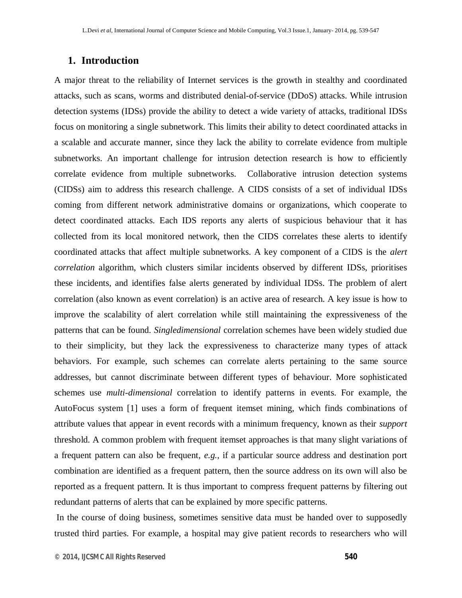## **1. Introduction**

A major threat to the reliability of Internet services is the growth in stealthy and coordinated attacks, such as scans, worms and distributed denial-of-service (DDoS) attacks. While intrusion detection systems (IDSs) provide the ability to detect a wide variety of attacks, traditional IDSs focus on monitoring a single subnetwork. This limits their ability to detect coordinated attacks in a scalable and accurate manner, since they lack the ability to correlate evidence from multiple subnetworks. An important challenge for intrusion detection research is how to efficiently correlate evidence from multiple subnetworks. Collaborative intrusion detection systems (CIDSs) aim to address this research challenge. A CIDS consists of a set of individual IDSs coming from different network administrative domains or organizations, which cooperate to detect coordinated attacks. Each IDS reports any alerts of suspicious behaviour that it has collected from its local monitored network, then the CIDS correlates these alerts to identify coordinated attacks that affect multiple subnetworks. A key component of a CIDS is the *alert correlation* algorithm, which clusters similar incidents observed by different IDSs, prioritises these incidents, and identifies false alerts generated by individual IDSs. The problem of alert correlation (also known as event correlation) is an active area of research. A key issue is how to improve the scalability of alert correlation while still maintaining the expressiveness of the patterns that can be found. *Singledimensional* correlation schemes have been widely studied due to their simplicity, but they lack the expressiveness to characterize many types of attack behaviors. For example, such schemes can correlate alerts pertaining to the same source addresses, but cannot discriminate between different types of behaviour. More sophisticated schemes use *multi-dimensional* correlation to identify patterns in events. For example, the AutoFocus system [1] uses a form of frequent itemset mining, which finds combinations of attribute values that appear in event records with a minimum frequency, known as their *support*  threshold. A common problem with frequent itemset approaches is that many slight variations of a frequent pattern can also be frequent, *e.g.*, if a particular source address and destination port combination are identified as a frequent pattern, then the source address on its own will also be reported as a frequent pattern. It is thus important to compress frequent patterns by filtering out redundant patterns of alerts that can be explained by more specific patterns.

In the course of doing business, sometimes sensitive data must be handed over to supposedly trusted third parties. For example, a hospital may give patient records to researchers who will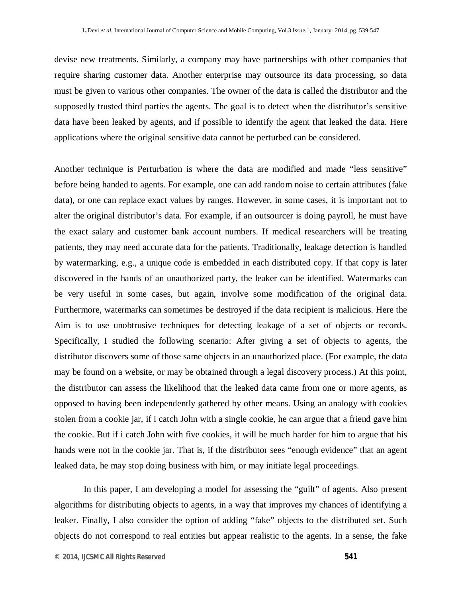devise new treatments. Similarly, a company may have partnerships with other companies that require sharing customer data. Another enterprise may outsource its data processing, so data must be given to various other companies. The owner of the data is called the distributor and the supposedly trusted third parties the agents. The goal is to detect when the distributor's sensitive data have been leaked by agents, and if possible to identify the agent that leaked the data. Here applications where the original sensitive data cannot be perturbed can be considered.

Another technique is Perturbation is where the data are modified and made "less sensitive" before being handed to agents. For example, one can add random noise to certain attributes (fake data), or one can replace exact values by ranges. However, in some cases, it is important not to alter the original distributor's data. For example, if an outsourcer is doing payroll, he must have the exact salary and customer bank account numbers. If medical researchers will be treating patients, they may need accurate data for the patients. Traditionally, leakage detection is handled by watermarking, e.g., a unique code is embedded in each distributed copy. If that copy is later discovered in the hands of an unauthorized party, the leaker can be identified. Watermarks can be very useful in some cases, but again, involve some modification of the original data. Furthermore, watermarks can sometimes be destroyed if the data recipient is malicious. Here the Aim is to use unobtrusive techniques for detecting leakage of a set of objects or records. Specifically, I studied the following scenario: After giving a set of objects to agents, the distributor discovers some of those same objects in an unauthorized place. (For example, the data may be found on a website, or may be obtained through a legal discovery process.) At this point, the distributor can assess the likelihood that the leaked data came from one or more agents, as opposed to having been independently gathered by other means. Using an analogy with cookies stolen from a cookie jar, if i catch John with a single cookie, he can argue that a friend gave him the cookie. But if i catch John with five cookies, it will be much harder for him to argue that his hands were not in the cookie jar. That is, if the distributor sees "enough evidence" that an agent leaked data, he may stop doing business with him, or may initiate legal proceedings.

In this paper, I am developing a model for assessing the "guilt" of agents. Also present algorithms for distributing objects to agents, in a way that improves my chances of identifying a leaker. Finally, I also consider the option of adding "fake" objects to the distributed set. Such objects do not correspond to real entities but appear realistic to the agents. In a sense, the fake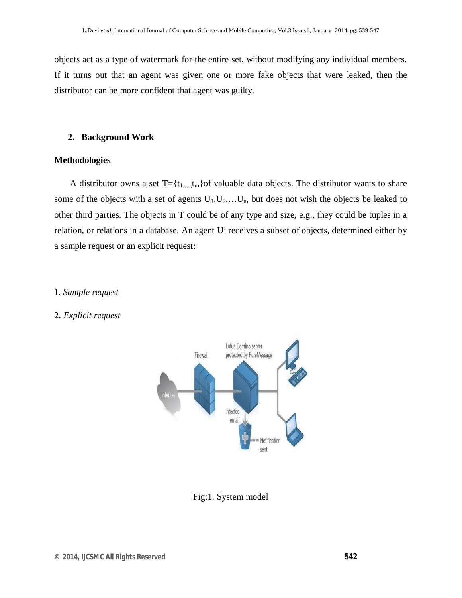objects act as a type of watermark for the entire set, without modifying any individual members. If it turns out that an agent was given one or more fake objects that were leaked, then the distributor can be more confident that agent was guilty.

#### **2. Background Work**

#### **Methodologies**

A distributor owns a set  $T = \{t_1, \ldots, t_m\}$  of valuable data objects. The distributor wants to share some of the objects with a set of agents  $U_1, U_2, \ldots, U_n$ , but does not wish the objects be leaked to other third parties. The objects in T could be of any type and size, e.g., they could be tuples in a relation, or relations in a database. An agent Ui receives a subset of objects, determined either by a sample request or an explicit request:

#### 1. *Sample request*

#### 2. *Explicit request*



Fig:1. System model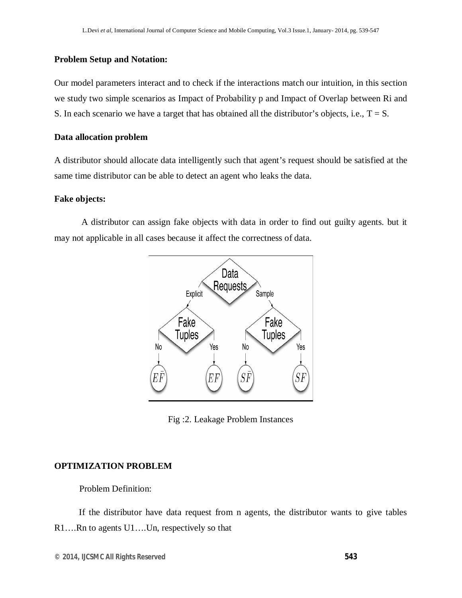#### **Problem Setup and Notation:**

Our model parameters interact and to check if the interactions match our intuition, in this section we study two simple scenarios as Impact of Probability p and Impact of Overlap between Ri and S. In each scenario we have a target that has obtained all the distributor's objects, i.e.,  $T = S$ .

#### **Data allocation problem**

A distributor should allocate data intelligently such that agent's request should be satisfied at the same time distributor can be able to detect an agent who leaks the data.

#### **Fake objects:**

A distributor can assign fake objects with data in order to find out guilty agents. but it may not applicable in all cases because it affect the correctness of data.



Fig :2. Leakage Problem Instances

#### **OPTIMIZATION PROBLEM**

Problem Definition:

 If the distributor have data request from n agents, the distributor wants to give tables R1….Rn to agents U1….Un, respectively so that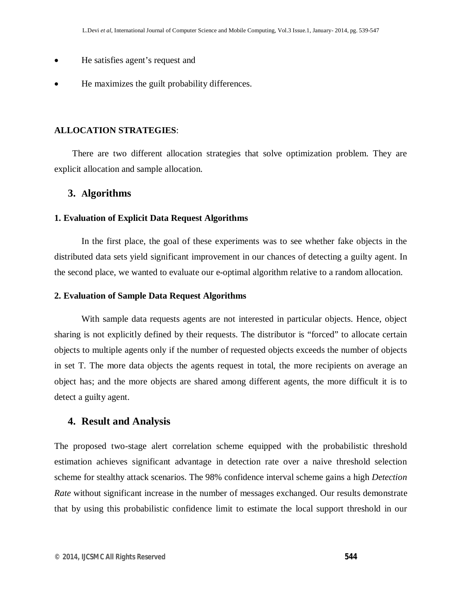- He satisfies agent's request and
- He maximizes the guilt probability differences.

#### **ALLOCATION STRATEGIES**:

 There are two different allocation strategies that solve optimization problem. They are explicit allocation and sample allocation.

#### **3. Algorithms**

#### **1. Evaluation of Explicit Data Request Algorithms**

In the first place, the goal of these experiments was to see whether fake objects in the distributed data sets yield significant improvement in our chances of detecting a guilty agent. In the second place, we wanted to evaluate our e-optimal algorithm relative to a random allocation.

#### **2. Evaluation of Sample Data Request Algorithms**

With sample data requests agents are not interested in particular objects. Hence, object sharing is not explicitly defined by their requests. The distributor is "forced" to allocate certain objects to multiple agents only if the number of requested objects exceeds the number of objects in set T. The more data objects the agents request in total, the more recipients on average an object has; and the more objects are shared among different agents, the more difficult it is to detect a guilty agent.

#### **4. Result and Analysis**

The proposed two-stage alert correlation scheme equipped with the probabilistic threshold estimation achieves significant advantage in detection rate over a naive threshold selection scheme for stealthy attack scenarios. The 98% confidence interval scheme gains a high *Detection Rate* without significant increase in the number of messages exchanged. Our results demonstrate that by using this probabilistic confidence limit to estimate the local support threshold in our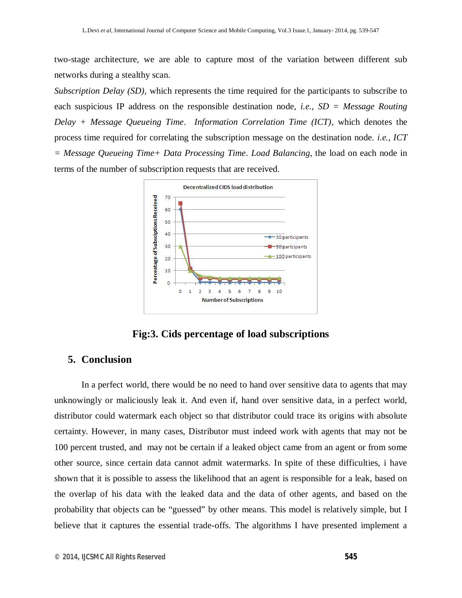two-stage architecture, we are able to capture most of the variation between different sub networks during a stealthy scan.

*Subscription Delay (SD)*, which represents the time required for the participants to subscribe to each suspicious IP address on the responsible destination node, *i.e.*, *SD = Message Routing Delay + Message Queueing Time*. *Information Correlation Time (ICT)*, which denotes the process time required for correlating the subscription message on the destination node. *i.e.*, *ICT = Message Queueing Time+ Data Processing Time*. *Load Balancing*, the load on each node in terms of the number of subscription requests that are received.



**Fig:3. Cids percentage of load subscriptions**

## **5. Conclusion**

In a perfect world, there would be no need to hand over sensitive data to agents that may unknowingly or maliciously leak it. And even if, hand over sensitive data, in a perfect world, distributor could watermark each object so that distributor could trace its origins with absolute certainty. However, in many cases, Distributor must indeed work with agents that may not be 100 percent trusted, and may not be certain if a leaked object came from an agent or from some other source, since certain data cannot admit watermarks. In spite of these difficulties, i have shown that it is possible to assess the likelihood that an agent is responsible for a leak, based on the overlap of his data with the leaked data and the data of other agents, and based on the probability that objects can be "guessed" by other means. This model is relatively simple, but I believe that it captures the essential trade-offs. The algorithms I have presented implement a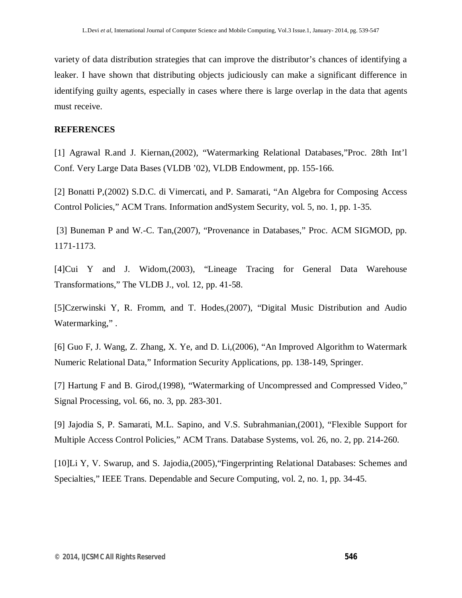variety of data distribution strategies that can improve the distributor's chances of identifying a leaker. I have shown that distributing objects judiciously can make a significant difference in identifying guilty agents, especially in cases where there is large overlap in the data that agents must receive.

#### **REFERENCES**

[1] Agrawal R.and J. Kiernan,(2002), "Watermarking Relational Databases,"Proc. 28th Int'l Conf. Very Large Data Bases (VLDB '02), VLDB Endowment, pp. 155-166.

[2] Bonatti P,(2002) S.D.C. di Vimercati, and P. Samarati, "An Algebra for Composing Access Control Policies," ACM Trans. Information andSystem Security, vol. 5, no. 1, pp. 1-35.

[3] Buneman P and W.-C. Tan,(2007), "Provenance in Databases," Proc. ACM SIGMOD, pp. 1171-1173.

[4]Cui Y and J. Widom,(2003), "Lineage Tracing for General Data Warehouse Transformations," The VLDB J., vol. 12, pp. 41-58.

[5]Czerwinski Y, R. Fromm, and T. Hodes,(2007), "Digital Music Distribution and Audio Watermarking,".

[6] Guo F, J. Wang, Z. Zhang, X. Ye, and D. Li,(2006), "An Improved Algorithm to Watermark Numeric Relational Data," Information Security Applications, pp. 138-149, Springer.

[7] Hartung F and B. Girod,(1998), "Watermarking of Uncompressed and Compressed Video," Signal Processing, vol. 66, no. 3, pp. 283-301.

[9] Jajodia S, P. Samarati, M.L. Sapino, and V.S. Subrahmanian,(2001), "Flexible Support for Multiple Access Control Policies," ACM Trans. Database Systems, vol. 26, no. 2, pp. 214-260.

[10]Li Y, V. Swarup, and S. Jajodia,(2005), "Fingerprinting Relational Databases: Schemes and Specialties," IEEE Trans. Dependable and Secure Computing, vol. 2, no. 1, pp. 34-45.